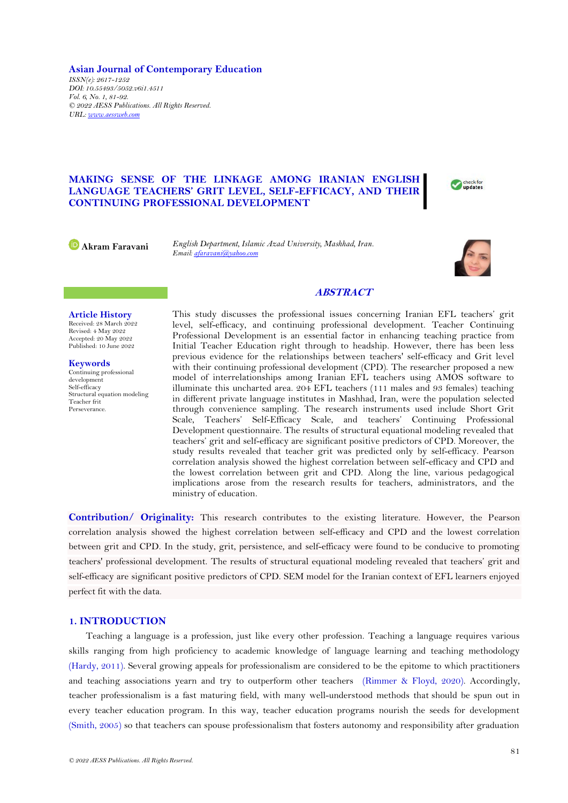**Asian Journal of Contemporary Education** *ISSN(e): 2617-1252 DOI: 10.55493/5052.v6i1.4511 Vol. 6, No. 1, 81-92. © 2022 AESS Publications. All Rights Reserved. URL: [www.aessweb.com](http://www.aessweb.com/)*

## **MAKING SENSE OF THE LINKAGE AMONG IRANIAN ENGLISH LANGUAGE TEACHERS' GRIT LEVEL, SELF-EFFICACY, AND THEIR CONTINUING PROFESSIONAL DEVELOPMENT**

**Akram Faravani** *English Department, Islamic Azad University, Mashhad, Iran. Email[: afaravani@yahoo.com](mailto:afaravani@yahoo.com)*



check for

# **ABSTRACT**

**Article History** Received: 28 March 2022 Revised: 4 May 2022 Accepted: 20 May 2022 Published: 10 June 2022

**Keywords** Continuing professional development Self-efficacy Structural equation modeling Teacher frit Perseverance.

This study discusses the professional issues concerning Iranian EFL teachers' grit level, self-efficacy, and continuing professional development. Teacher Continuing Professional Development is an essential factor in enhancing teaching practice from Initial Teacher Education right through to headship. However, there has been less previous evidence for the relationships between teachers' self-efficacy and Grit level with their continuing professional development (CPD). The researcher proposed a new model of interrelationships among Iranian EFL teachers using AMOS software to illuminate this uncharted area. 204 EFL teachers (111 males and 93 females) teaching in different private language institutes in Mashhad, Iran, were the population selected through convenience sampling. The research instruments used include Short Grit Scale, Teachers' Self-Efficacy Scale, and teachers' Continuing Professional Development questionnaire. The results of structural equational modeling revealed that teachers' grit and self-efficacy are significant positive predictors of CPD. Moreover, the study results revealed that teacher grit was predicted only by self-efficacy. Pearson correlation analysis showed the highest correlation between self-efficacy and CPD and the lowest correlation between grit and CPD. Along the line, various pedagogical implications arose from the research results for teachers, administrators, and the ministry of education.

**Contribution/ Originality:** This research contributes to the existing literature. However, the Pearson correlation analysis showed the highest correlation between self-efficacy and CPD and the lowest correlation between grit and CPD. In the study, grit, persistence, and self-efficacy were found to be conducive to promoting teachers' professional development. The results of structural equational modeling revealed that teachers' grit and self-efficacy are significant positive predictors of CPD. SEM model for the Iranian context of EFL learners enjoyed perfect fit with the data.

# **1. INTRODUCTION**

Teaching a language is a profession, just like every other profession. Teaching a language requires various skills ranging from high proficiency to academic knowledge of language learning and teaching methodology [\(Hardy, 2011\)](#page-10-0). Several growing appeals for professionalism are considered to be the epitome to which practitioners and teaching associations yearn and try to outperform other teachers [\(Rimmer & Floyd, 2020\)](#page-11-0). Accordingly, teacher professionalism is a fast maturing field, with many well-understood methods that should be spun out in every teacher education program. In this way, teacher education programs nourish the seeds for development [\(Smith, 2005\)](#page-11-1) so that teachers can spouse professionalism that fosters autonomy and responsibility after graduation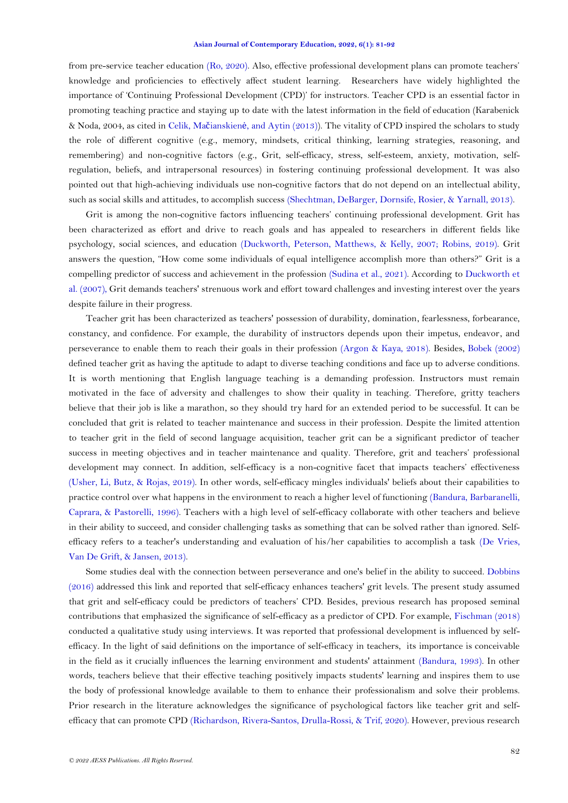from pre-service teacher education [\(Ro, 2020\)](#page-11-2). Also, effective professional development plans can promote teachers' knowledge and proficiencies to effectively affect student learning. Researchers have widely highlighted the importance of 'Continuing Professional Development (CPD)' for instructors. Teacher CPD is an essential factor in promoting teaching practice and staying up to date with the latest information in the field of education (Karabenick & Noda, 2004, as cited in Celik, Mačianskienė[, and Aytin \(2013\)](#page-10-1)). The vitality of CPD inspired the scholars to study the role of different cognitive (e.g., memory, mindsets, critical thinking, learning strategies, reasoning, and remembering) and non-cognitive factors (e.g., Grit, self-efficacy, stress, self-esteem, anxiety, motivation, selfregulation, beliefs, and intrapersonal resources) in fostering continuing professional development. It was also pointed out that high-achieving individuals use non-cognitive factors that do not depend on an intellectual ability, such as social skills and attitudes, to accomplish success [\(Shechtman, DeBarger, Dornsife, Rosier, & Yarnall, 2013\)](#page-11-3).

Grit is among the non-cognitive factors influencing teachers' continuing professional development. Grit has been characterized as effort and drive to reach goals and has appealed to researchers in different fields like psychology, social sciences, and education [\(Duckworth, Peterson, Matthews, & Kelly, 2007;](#page-10-2) [Robins, 2019\)](#page-11-4). Grit answers the question, "How come some individuals of equal intelligence accomplish more than others?" Grit is a compelling predictor of success and achievement in the profession [\(Sudina et al., 2021\)](#page-11-5). According to [Duckworth et](#page-10-2)  [al. \(2007\)](#page-10-2), Grit demands teachers' strenuous work and effort toward challenges and investing interest over the years despite failure in their progress.

Teacher grit has been characterized as teachers' possession of durability, domination, fearlessness, forbearance, constancy, and confidence. For example, the durability of instructors depends upon their impetus, endeavor, and perseverance to enable them to reach their goals in their profession [\(Argon & Kaya, 2018\)](#page-10-3). Besides, [Bobek \(2002\)](#page-10-4) defined teacher grit as having the aptitude to adapt to diverse teaching conditions and face up to adverse conditions. It is worth mentioning that English language teaching is a demanding profession. Instructors must remain motivated in the face of adversity and challenges to show their quality in teaching. Therefore, gritty teachers believe that their job is like a marathon, so they should try hard for an extended period to be successful. It can be concluded that grit is related to teacher maintenance and success in their profession. Despite the limited attention to teacher grit in the field of second language acquisition, teacher grit can be a significant predictor of teacher success in meeting objectives and in teacher maintenance and quality. Therefore, grit and teachers' professional development may connect. In addition, self-efficacy is a non-cognitive facet that impacts teachers' effectiveness [\(Usher, Li, Butz, & Rojas, 2019\)](#page-11-6). In other words, self-efficacy mingles individuals' beliefs about their capabilities to practice control over what happens in the environment to reach a higher level of functioning [\(Bandura, Barbaranelli,](#page-10-5)  [Caprara, & Pastorelli, 1996\)](#page-10-5). Teachers with a high level of self-efficacy collaborate with other teachers and believe in their ability to succeed, and consider challenging tasks as something that can be solved rather than ignored. Selfefficacy refers to a teacher's understanding and evaluation of his/her capabilities to accomplish a task [\(De Vries,](#page-10-6)  [Van De Grift, & Jansen, 2013\)](#page-10-6).

Some studies deal with the connection between perseverance and one's belief in the ability to succeed. [Dobbins](#page-10-7)  [\(2016\)](#page-10-7) addressed this link and reported that self-efficacy enhances teachers' grit levels. The present study assumed that grit and self-efficacy could be predictors of teachers' CPD. Besides, previous research has proposed seminal contributions that emphasized the significance of self-efficacy as a predictor of CPD. For example, [Fischman \(2018\)](#page-10-8) conducted a qualitative study using interviews. It was reported that professional development is influenced by selfefficacy. In the light of said definitions on the importance of self-efficacy in teachers, its importance is conceivable in the field as it crucially influences the learning environment and students' attainment [\(Bandura, 1993\)](#page-10-9). In other words, teachers believe that their effective teaching positively impacts students' learning and inspires them to use the body of professional knowledge available to them to enhance their professionalism and solve their problems. Prior research in the literature acknowledges the significance of psychological factors like teacher grit and selfefficacy that can promote CPD [\(Richardson, Rivera-Santos, Drulla-Rossi, & Trif, 2020\)](#page-11-7). However, previous research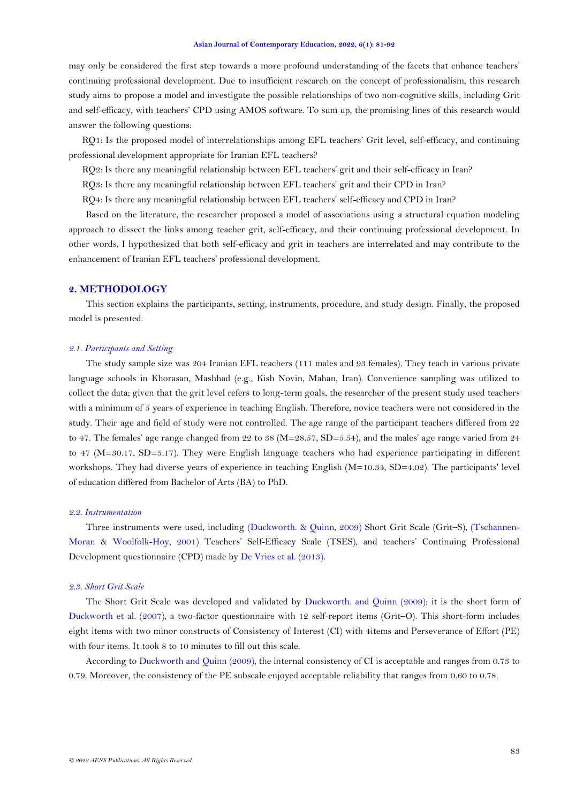may only be considered the first step towards a more profound understanding of the facets that enhance teachers' continuing professional development. Due to insufficient research on the concept of professionalism, this research study aims to propose a model and investigate the possible relationships of two non-cognitive skills, including Grit and self-efficacy, with teachers' CPD using AMOS software. To sum up, the promising lines of this research would answer the following questions:

RQ1: Is the proposed model of interrelationships among EFL teachers' Grit level, self-efficacy, and continuing professional development appropriate for Iranian EFL teachers?

RQ2: Is there any meaningful relationship between EFL teachers' grit and their self-efficacy in Iran?

RQ3: Is there any meaningful relationship between EFL teachers' grit and their CPD in Iran?

RQ4: Is there any meaningful relationship between EFL teachers' self-efficacy and CPD in Iran?

Based on the literature, the researcher proposed a model of associations using a structural equation modeling approach to dissect the links among teacher grit, self-efficacy, and their continuing professional development. In other words, I hypothesized that both self-efficacy and grit in teachers are interrelated and may contribute to the enhancement of Iranian EFL teachers' professional development.

## **2. METHODOLOGY**

This section explains the participants, setting, instruments, procedure, and study design. Finally, the proposed model is presented.

## *2.1. Participants and Setting*

The study sample size was 204 Iranian EFL teachers (111 males and 93 females). They teach in various private language schools in Khorasan, Mashhad (e.g., Kish Novin, Mahan, Iran). Convenience sampling was utilized to collect the data; given that the grit level refers to long-term goals, the researcher of the present study used teachers with a minimum of 5 years of experience in teaching English. Therefore, novice teachers were not considered in the study. Their age and field of study were not controlled. The age range of the participant teachers differed from 22 to 47. The females' age range changed from 22 to 38 (M=28.57, SD=5.54), and the males' age range varied from 24 to 47 (M=30.17, SD=5.17). They were English language teachers who had experience participating in different workshops. They had diverse years of experience in teaching English (M=10.34, SD=4.02). The participants' level of education differed from Bachelor of Arts (BA) to PhD.

#### *2.2. Instrumentation*

Three instruments were used, including [\(Duckworth. & Quinn, 2009\)](#page-10-10) Short Grit Scale (Grit–S), [\(Tschannen-](#page-11-8)[Moran & Woolfolk-Hoy, 2001\)](#page-11-8) Teachers' Self-Efficacy Scale (TSES), and teachers' Continuing Professional Development questionnaire (CPD) made by [De Vries et al. \(2013\)](#page-10-6).

### *2.3. Short Grit Scale*

The Short Grit Scale was developed and validated by [Duckworth. and Quinn \(2009\)](#page-10-10); it is the short form of [Duckworth et al. \(2007\)](#page-10-2), a two-factor questionnaire with 12 self-report items (Grit–O). This short-form includes eight items with two minor constructs of Consistency of Interest (CI) with 4items and Perseverance of Effort (PE) with four items. It took 8 to 10 minutes to fill out this scale.

According to [Duckworth and Quinn \(2009\)](#page-10-10), the internal consistency of CI is acceptable and ranges from 0.73 to 0.79. Moreover, the consistency of the PE subscale enjoyed acceptable reliability that ranges from 0.60 to 0.78.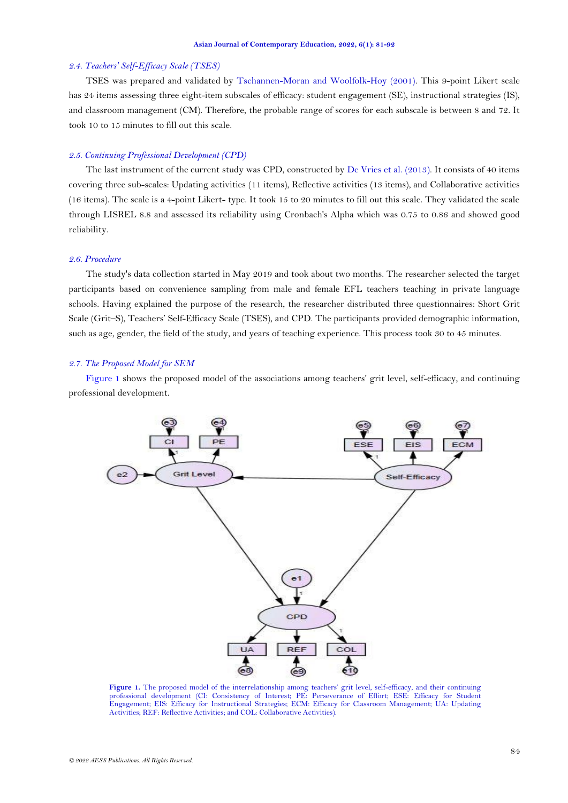### *2.4. Teachers' Self-Efficacy Scale (TSES)*

TSES was prepared and validated by [Tschannen-Moran and Woolfolk-Hoy \(2001\)](#page-11-8). This 9-point Likert scale has 24 items assessing three eight-item subscales of efficacy: student engagement (SE), instructional strategies (IS), and classroom management (CM). Therefore, the probable range of scores for each subscale is between 8 and 72. It took 10 to 15 minutes to fill out this scale.

## *2.5. Continuing Professional Development (CPD)*

The last instrument of the current study was CPD, constructed by [De Vries et al. \(2013\)](#page-10-6). It consists of 40 items covering three sub-scales: Updating activities (11 items), Reflective activities (13 items), and Collaborative activities (16 items). The scale is a 4-point Likert- type. It took 15 to 20 minutes to fill out this scale. They validated the scale through LISREL 8.8 and assessed its reliability using Cronbach's Alpha which was 0.75 to 0.86 and showed good reliability.

### *2.6. Procedure*

The study's data collection started in May 2019 and took about two months. The researcher selected the target participants based on convenience sampling from male and female EFL teachers teaching in private language schools. Having explained the purpose of the research, the researcher distributed three questionnaires: Short Grit Scale (Grit–S), Teachers' Self-Efficacy Scale (TSES), and CPD. The participants provided demographic information, such as age, gender, the field of the study, and years of teaching experience. This process took 30 to 45 minutes.

## *2.7. The Proposed Model for SEM*

[Figure 1](#page-3-0) shows the proposed model of the associations among teachers' grit level, self-efficacy, and continuing professional development.



<span id="page-3-0"></span>**Figure 1.** The proposed model of the interrelationship among teachers' grit level, self-efficacy, and their continuing professional development (CI: Consistency of Interest; PE: Perseverance of Effort; ESE: Efficacy for Student Engagement; EIS: Efficacy for Instructional Strategies; ECM: Efficacy for Classroom Management; UA: Updating Activities; REF: Reflective Activities; and COL: Collaborative Activities).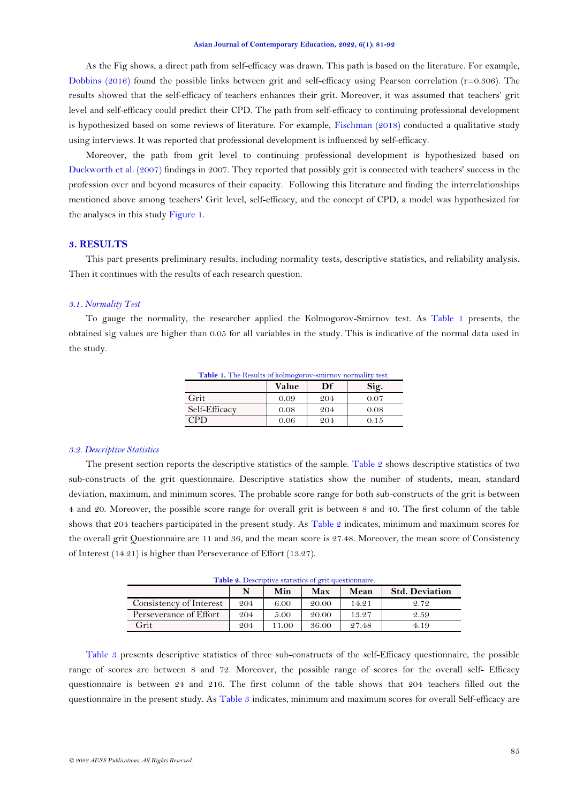As the Fig shows, a direct path from self-efficacy was drawn. This path is based on the literature. For example, [Dobbins \(2016\)](#page-10-7) found the possible links between grit and self-efficacy using Pearson correlation (r=0.306). The results showed that the self-efficacy of teachers enhances their grit. Moreover, it was assumed that teachers' grit level and self-efficacy could predict their CPD. The path from self-efficacy to continuing professional development is hypothesized based on some reviews of literature. For example, [Fischman \(2018\)](#page-10-8) conducted a qualitative study using interviews. It was reported that professional development is influenced by self-efficacy.

Moreover, the path from grit level to continuing professional development is hypothesized based on [Duckworth et al. \(2007\)](#page-10-2) findings in 2007. They reported that possibly grit is connected with teachers' success in the profession over and beyond measures of their capacity. Following this literature and finding the interrelationships mentioned above among teachers' Grit level, self-efficacy, and the concept of CPD, a model was hypothesized for the analyses in this study [Figure 1.](#page-3-0)

## **3. RESULTS**

This part presents preliminary results, including normality tests, descriptive statistics, and reliability analysis. Then it continues with the results of each research question.

#### *3.1. Normality Test*

To gauge the normality, the researcher applied the Kolmogorov-Smirnov test. As [Table 1](#page-4-0) presents, the obtained sig values are higher than 0.05 for all variables in the study. This is indicative of the normal data used in the study.

<span id="page-4-0"></span>

| Table 1. The Results of kolmogorov-smirnov normality test. |       |     |      |
|------------------------------------------------------------|-------|-----|------|
|                                                            | Value | Df  | Sig. |
| Grit                                                       | 0.09  | 204 | 0.07 |
| Self-Efficacy                                              | 0.08  | 204 | 0.08 |
| <b>CPD</b>                                                 | 0.06  | 204 | 0.15 |

### *3.2. Descriptive Statistics*

The present section reports the descriptive statistics of the sample. Table  $2$  shows descriptive statistics of two sub-constructs of the grit questionnaire. Descriptive statistics show the number of students, mean, standard deviation, maximum, and minimum scores. The probable score range for both sub-constructs of the grit is between 4 and 20. Moreover, the possible score range for overall grit is between 8 and 40. The first column of the table shows that 204 teachers participated in the present study. As [Table 2](#page-4-1) indicates, minimum and maximum scores for the overall grit Questionnaire are 11 and 36, and the mean score is 27.48. Moreover, the mean score of Consistency of Interest (14.21) is higher than Perseverance of Effort (13.27).

<span id="page-4-1"></span>

|                         |     | <b>Table 2.</b> Descriptive statistics of grit questionnaire. |       |       |                       |
|-------------------------|-----|---------------------------------------------------------------|-------|-------|-----------------------|
|                         |     | Min                                                           | Max   | Mean  | <b>Std. Deviation</b> |
| Consistency of Interest | 204 | 6.00                                                          | 20.00 | 14.21 | 2.72                  |
| Perseverance of Effort  | 204 | 5.00                                                          | 20.00 | 13.27 | 2.59                  |
| Grit                    | 204 | 11.00                                                         | 36.00 | 27.48 | 4.19                  |

**Table 2.** Descriptive statistics of grit questionnaire.

[Table 3](#page-5-0) presents descriptive statistics of three sub-constructs of the self-Efficacy questionnaire, the possible range of scores are between 8 and 72. Moreover, the possible range of scores for the overall self- Efficacy questionnaire is between 24 and 216. The first column of the table shows that 204 teachers filled out the questionnaire in the present study. As [Table 3](#page-5-0) indicates, minimum and maximum scores for overall Self-efficacy are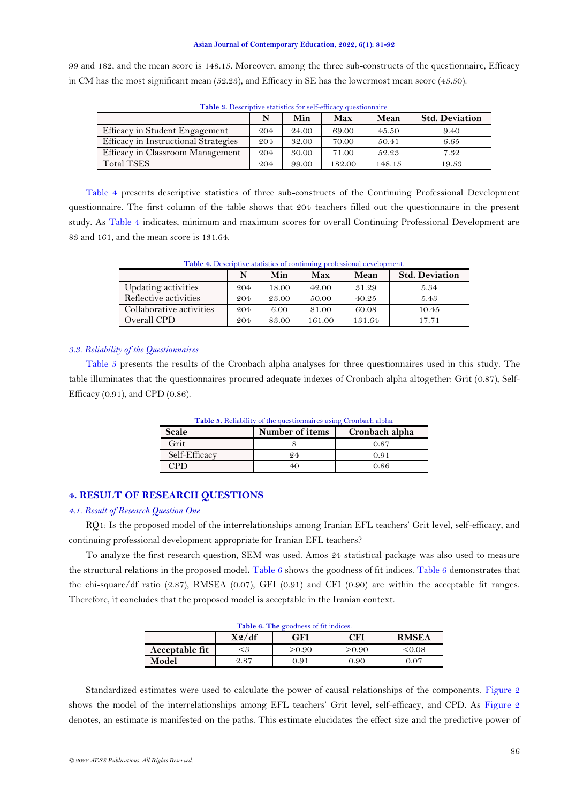99 and 182, and the mean score is 148.15. Moreover, among the three sub-constructs of the questionnaire, Efficacy in CM has the most significant mean (52.23), and Efficacy in SE has the lowermost mean score (45.50).

<span id="page-5-0"></span>

| N   | Min   | Max    | Mean   | <b>Std. Deviation</b> |
|-----|-------|--------|--------|-----------------------|
| 204 | 24.00 | 69.00  | 45.50  | 9.40                  |
| 204 | 32.00 | 70.00  | 50.41  | 6.65                  |
| 204 | 30.00 | 71.00  | 52.23  | 7.32                  |
| 204 | 99.00 | 182.00 | 148.15 | 19.53                 |
|     |       |        |        |                       |

**Table 3.** Descriptive statistics for self-efficacy questionnaire.

[Table 4](#page-5-1) presents descriptive statistics of three sub-constructs of the Continuing Professional Development questionnaire. The first column of the table shows that 204 teachers filled out the questionnaire in the present study. As [Table 4](#page-5-1) indicates, minimum and maximum scores for overall Continuing Professional Development are 83 and 161, and the mean score is 131.64.

<span id="page-5-1"></span>

| <b>Table 4.</b> Descriptive statistics of continuing professional development. |     |       |        |        |                       |
|--------------------------------------------------------------------------------|-----|-------|--------|--------|-----------------------|
|                                                                                | N   | Min   | Max    | Mean   | <b>Std. Deviation</b> |
| Updating activities                                                            | 204 | 18.00 | 42.00  | 31.29  | 5.34                  |
| Reflective activities                                                          | 204 | 23.00 | 50.00  | 40.25  | 5.43                  |
| Collaborative activities                                                       | 204 | 6.00  | 81.00  | 60.08  | 10.45                 |
| Overall CPD                                                                    | 204 | 83.00 | 161.00 | 131.64 | 17.71                 |

**Table 4.** Descriptive statistics of continuing professional development.

### *3.3. Reliability of the Questionnaires*

<span id="page-5-2"></span>[Table 5](#page-5-2) presents the results of the Cronbach alpha analyses for three questionnaires used in this study. The table illuminates that the questionnaires procured adequate indexes of Cronbach alpha altogether: Grit (0.87), Self-Efficacy (0.91), and CPD (0.86).

| <b>Table 5.</b> Reliability of the question aires using Cronbach alpha. |                 |                |  |  |  |
|-------------------------------------------------------------------------|-----------------|----------------|--|--|--|
| Scale                                                                   | Number of items | Cronbach alpha |  |  |  |
| Grit                                                                    |                 | 0.87           |  |  |  |
| Self-Efficacy                                                           | 94              | 0.91           |  |  |  |
| . PD.                                                                   |                 | 0.86           |  |  |  |

# **4. RESULT OF RESEARCH QUESTIONS**

## *4.1. Result of Research Question One*

RQ1: Is the proposed model of the interrelationships among Iranian EFL teachers' Grit level, self-efficacy, and continuing professional development appropriate for Iranian EFL teachers?

To analyze the first research question, SEM was used. Amos 24 statistical package was also used to measure the structural relations in the proposed model**.** [Table 6](#page-5-3) shows the goodness of fit indices. [Table 6](#page-5-3) demonstrates that the chi-square/df ratio (2.87), RMSEA (0.07), GFI (0.91) and CFI (0.90) are within the acceptable fit ranges. Therefore, it concludes that the proposed model is acceptable in the Iranian context.

| Table 6. The goodness of fit indices. |                 |        |        |              |
|---------------------------------------|-----------------|--------|--------|--------------|
|                                       | $X\frac{2}{df}$ | GFI    | CFI    | <b>RMSEA</b> |
| Acceptable fit                        | ≤3              | > 0.90 | > 0.90 | &0.08        |
| Model                                 | 2.87            | 0.91   | 0.90   | 0.07         |

<span id="page-5-3"></span>Standardized estimates were used to calculate the power of causal relationships of the components. [Figure 2](#page-6-0) shows the model of the interrelationships among EFL teachers' Grit level, self-efficacy, and CPD. As [Figure 2](#page-6-0) denotes, an estimate is manifested on the paths. This estimate elucidates the effect size and the predictive power of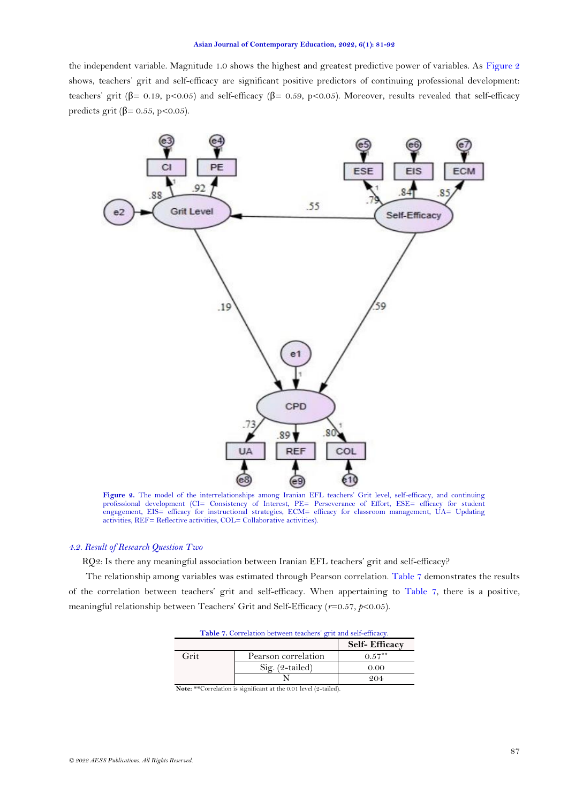the independent variable. Magnitude 1.0 shows the highest and greatest predictive power of variables. As [Figure 2](#page-6-0) shows, teachers' grit and self-efficacy are significant positive predictors of continuing professional development: teachers' grit (β= 0.19, p<0.05) and self-efficacy (β= 0.59, p<0.05). Moreover, results revealed that self-efficacy predicts grit ( $\beta$ = 0.55, p<0.05).



<span id="page-6-0"></span>**Figure 2.** The model of the interrelationships among Iranian EFL teachers' Grit level, self-efficacy, and continuing professional development (CI= Consistency of Interest, PE= Perseverance of Effort, ESE= efficacy for student engagement, EIS= efficacy for instructional strategies, ECM= efficacy for classroom management, UA= Updating activities, REF= Reflective activities, COL= Collaborative activities).

## *4.2. Result of Research Question Two*

RQ2: Is there any meaningful association between Iranian EFL teachers' grit and self-efficacy?

<span id="page-6-1"></span>The relationship among variables was estimated through Pearson correlation. [Table 7](#page-6-1) demonstrates the results of the correlation between teachers' grit and self-efficacy. When appertaining to [Table 7,](#page-6-1) there is a positive, meaningful relationship between Teachers' Grit and Self-Efficacy (*r*=0.57, *p*<0.05).

|      | <b>Table 7.</b> Correlation between teachers grit and self-efficacy. |                      |  |  |
|------|----------------------------------------------------------------------|----------------------|--|--|
|      |                                                                      | <b>Self-Efficacy</b> |  |  |
| Grit | Pearson correlation                                                  | $0.57***$            |  |  |
|      | $Sig. (2-tailed)$                                                    | 0.00                 |  |  |
|      |                                                                      | 204                  |  |  |

**Table 7.** Correlation between teachers' grit and self-efficacy.

**Note:** \*\*Correlation is significant at the 0.01 level (2-tailed).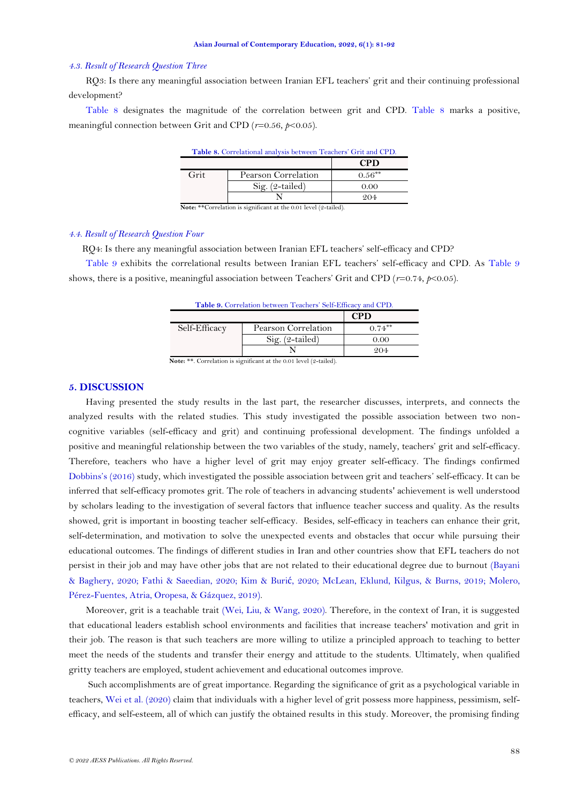#### *4.3. Result of Research Question Three*

RQ3: Is there any meaningful association between Iranian EFL teachers' grit and their continuing professional development?

<span id="page-7-0"></span>[Table 8](#page-7-0) designates the magnitude of the correlation between grit and CPD. [Table 8](#page-7-0) marks a positive, meaningful connection between Grit and CPD (*r*=0.56, *p*<0.05).

| Table 8. Correlational analysis between Teachers' Grit and CPD. |                     |            |
|-----------------------------------------------------------------|---------------------|------------|
|                                                                 |                     | <b>CPD</b> |
| Grit                                                            | Pearson Correlation | $0.56***$  |
|                                                                 | $Sig. (2-tailed)$   | 0.00       |
|                                                                 |                     |            |

**Note:** \*\*Correlation is significant at the 0.01 level (9-tailed).

## *4.4. Result of Research Question Four*

RQ4: Is there any meaningful association between Iranian EFL teachers' self-efficacy and CPD?

<span id="page-7-1"></span>[Table 9](#page-7-1) exhibits the correlational results between Iranian EFL teachers' self-efficacy and CPD. As [Table 9](#page-7-1) shows, there is a positive, meaningful association between Teachers' Grit and CPD (*r*=0.74, *p*<0.05).

|               | Table 9. Correlation between Teachers' Self-Efficacy and CPD. | <b>CPD</b> |
|---------------|---------------------------------------------------------------|------------|
| Self-Efficacy | Pearson Correlation                                           | $0.74***$  |
|               | Sig. (2-tailed)                                               | 0.00       |
|               |                                                               | 204        |

## **5. DISCUSSION**

Having presented the study results in the last part, the researcher discusses, interprets, and connects the analyzed results with the related studies. This study investigated the possible association between two noncognitive variables (self-efficacy and grit) and continuing professional development. The findings unfolded a positive and meaningful relationship between the two variables of the study, namely, teachers' grit and self-efficacy. Therefore, teachers who have a higher level of grit may enjoy greater self-efficacy. The findings confirmed [Dobbins](#page-10-7)'s (2016) study, which investigated the possible association between grit and teachers' self-efficacy. It can be inferred that self-efficacy promotes grit. The role of teachers in advancing students' achievement is well understood by scholars leading to the investigation of several factors that influence teacher success and quality. As the results showed, grit is important in boosting teacher self-efficacy. Besides, self-efficacy in teachers can enhance their grit, self-determination, and motivation to solve the unexpected events and obstacles that occur while pursuing their educational outcomes. The findings of different studies in Iran and other countries show that EFL teachers do not persist in their job and may have other jobs that are not related to their educational degree due to burnout [\(Bayani](#page-10-11)  [& Baghery, 2020;](#page-10-11) [Fathi & Saeedian, 2020;](#page-10-12) [Kim & Buri](#page-11-9)ć, 2020; [McLean, Eklund, Kilgus, & Burns, 2019;](#page-11-10) [Molero,](#page-11-11)  [Pérez-Fuentes, Atria, Oropesa, & Gázquez, 2019\)](#page-11-11).

Moreover, grit is a teachable trait [\(Wei, Liu, & Wang, 2020\)](#page-11-12). Therefore, in the context of Iran, it is suggested that educational leaders establish school environments and facilities that increase teachers' motivation and grit in their job. The reason is that such teachers are more willing to utilize a principled approach to teaching to better meet the needs of the students and transfer their energy and attitude to the students. Ultimately, when qualified gritty teachers are employed, student achievement and educational outcomes improve.

Such accomplishments are of great importance. Regarding the significance of grit as a psychological variable in teachers, [Wei et al. \(2020\)](#page-11-12) claim that individuals with a higher level of grit possess more happiness, pessimism, selfefficacy, and self-esteem, all of which can justify the obtained results in this study. Moreover, the promising finding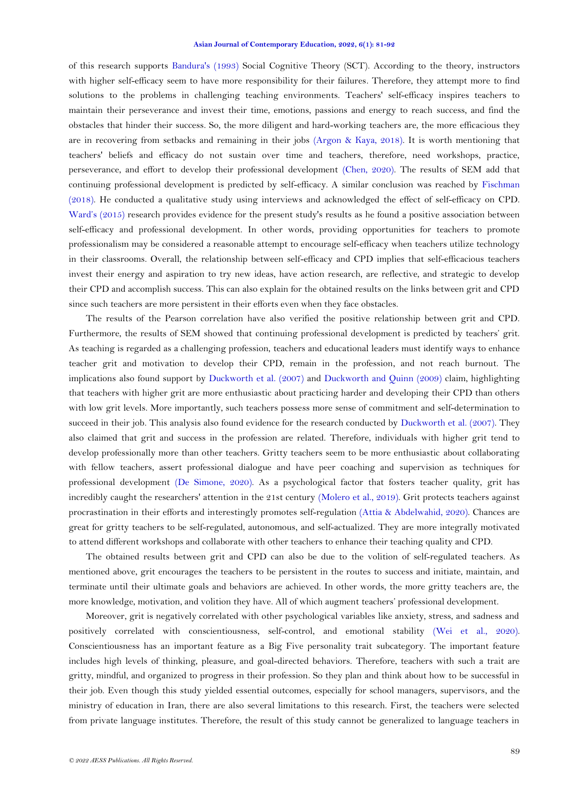of this research supports [Bandura's \(1993\)](#page-10-9) Social Cognitive Theory (SCT). According to the theory, instructors with higher self-efficacy seem to have more responsibility for their failures. Therefore, they attempt more to find solutions to the problems in challenging teaching environments. Teachers' self-efficacy inspires teachers to maintain their perseverance and invest their time, emotions, passions and energy to reach success, and find the obstacles that hinder their success. So, the more diligent and hard-working teachers are, the more efficacious they are in recovering from setbacks and remaining in their jobs [\(Argon & Kaya, 2018\)](#page-10-3). It is worth mentioning that teachers' beliefs and efficacy do not sustain over time and teachers, therefore, need workshops, practice, perseverance, and effort to develop their professional development [\(Chen, 2020\)](#page-10-13). The results of SEM add that continuing professional development is predicted by self-efficacy. A similar conclusion was reached by [Fischman](#page-10-8)  [\(2018\)](#page-10-8). He conducted a qualitative study using interviews and acknowledged the effect of self-efficacy on CPD. Ward's [\(2015\)](#page-11-13) research provides evidence for the present study's results as he found a positive association between self-efficacy and professional development. In other words, providing opportunities for teachers to promote professionalism may be considered a reasonable attempt to encourage self-efficacy when teachers utilize technology in their classrooms. Overall, the relationship between self-efficacy and CPD implies that self-efficacious teachers invest their energy and aspiration to try new ideas, have action research, are reflective, and strategic to develop their CPD and accomplish success. This can also explain for the obtained results on the links between grit and CPD since such teachers are more persistent in their efforts even when they face obstacles.

The results of the Pearson correlation have also verified the positive relationship between grit and CPD. Furthermore, the results of SEM showed that continuing professional development is predicted by teachers' grit. As teaching is regarded as a challenging profession, teachers and educational leaders must identify ways to enhance teacher grit and motivation to develop their CPD, remain in the profession, and not reach burnout. The implications also found support by [Duckworth et al. \(2007\)](#page-10-2) and [Duckworth and Quinn \(2009\)](#page-10-10) claim, highlighting that teachers with higher grit are more enthusiastic about practicing harder and developing their CPD than others with low grit levels. More importantly, such teachers possess more sense of commitment and self-determination to succeed in their job. This analysis also found evidence for the research conducted by [Duckworth et](#page-10-2) al. (2007). They also claimed that grit and success in the profession are related. Therefore, individuals with higher grit tend to develop professionally more than other teachers. Gritty teachers seem to be more enthusiastic about collaborating with fellow teachers, assert professional dialogue and have peer coaching and supervision as techniques for professional development [\(De Simone, 2020\)](#page-10-14). As a psychological factor that fosters teacher quality, grit has incredibly caught the researchers' attention in the 21st century [\(Molero et al., 2019\)](#page-11-11). Grit protects teachers against procrastination in their efforts and interestingly promotes self-regulation [\(Attia & Abdelwahid, 2020\)](#page-10-15). Chances are great for gritty teachers to be self-regulated, autonomous, and self-actualized. They are more integrally motivated to attend different workshops and collaborate with other teachers to enhance their teaching quality and CPD.

The obtained results between grit and CPD can also be due to the volition of self-regulated teachers. As mentioned above, grit encourages the teachers to be persistent in the routes to success and initiate, maintain, and terminate until their ultimate goals and behaviors are achieved. In other words, the more gritty teachers are, the more knowledge, motivation, and volition they have. All of which augment teachers' professional development.

Moreover, grit is negatively correlated with other psychological variables like anxiety, stress, and sadness and positively correlated with conscientiousness, self-control, and emotional stability [\(Wei et al., 2020\)](#page-11-12). Conscientiousness has an important feature as a Big Five personality trait subcategory. The important feature includes high levels of thinking, pleasure, and goal-directed behaviors. Therefore, teachers with such a trait are gritty, mindful, and organized to progress in their profession. So they plan and think about how to be successful in their job. Even though this study yielded essential outcomes, especially for school managers, supervisors, and the ministry of education in Iran, there are also several limitations to this research. First, the teachers were selected from private language institutes. Therefore, the result of this study cannot be generalized to language teachers in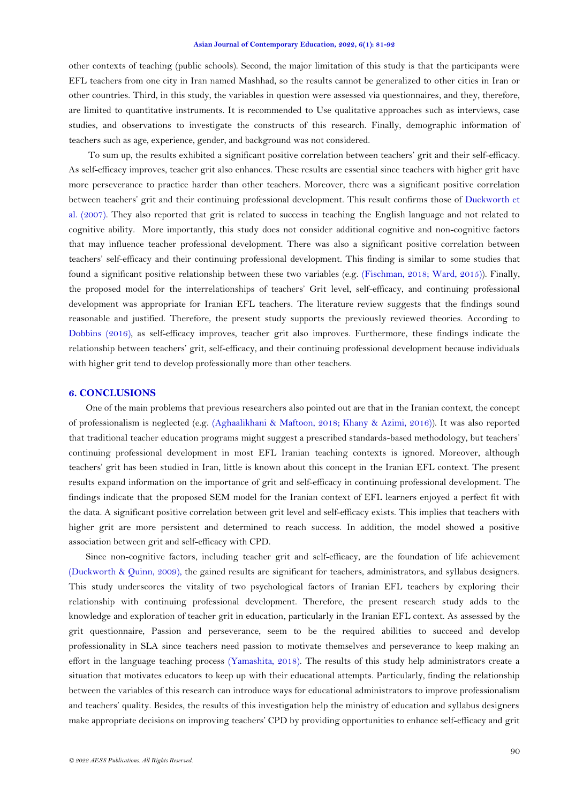other contexts of teaching (public schools). Second, the major limitation of this study is that the participants were EFL teachers from one city in Iran named Mashhad, so the results cannot be generalized to other cities in Iran or other countries. Third, in this study, the variables in question were assessed via questionnaires, and they, therefore, are limited to quantitative instruments. It is recommended to Use qualitative approaches such as interviews, case studies, and observations to investigate the constructs of this research. Finally, demographic information of teachers such as age, experience, gender, and background was not considered.

To sum up, the results exhibited a significant positive correlation between teachers' grit and their self-efficacy. As self-efficacy improves, teacher grit also enhances. These results are essential since teachers with higher grit have more perseverance to practice harder than other teachers. Moreover, there was a significant positive correlation between teachers' grit and their continuing professional development. This result confirms those of [Duckworth et](#page-10-2)  [al. \(2007\)](#page-10-2). They also reported that grit is related to success in teaching the English language and not related to cognitive ability. More importantly, this study does not consider additional cognitive and non-cognitive factors that may influence teacher professional development. There was also a significant positive correlation between teachers' self-efficacy and their continuing professional development. This finding is similar to some studies that found a significant positive relationship between these two variables (e.g. [\(Fischman, 2018;](#page-10-8) [Ward, 2015\)](#page-11-13)). Finally, the proposed model for the interrelationships of teachers' Grit level, self-efficacy, and continuing professional development was appropriate for Iranian EFL teachers. The literature review suggests that the findings sound reasonable and justified. Therefore, the present study supports the previously reviewed theories. According to [Dobbins \(2016\)](#page-10-7), as self-efficacy improves, teacher grit also improves. Furthermore, these findings indicate the relationship between teachers' grit, self-efficacy, and their continuing professional development because individuals with higher grit tend to develop professionally more than other teachers.

## **6. CONCLUSIONS**

One of the main problems that previous researchers also pointed out are that in the Iranian context, the concept of professionalism is neglected (e.g. [\(Aghaalikhani & Maftoon, 2018;](#page-10-16) [Khany & Azimi, 2016\)](#page-10-17)). It was also reported that traditional teacher education programs might suggest a prescribed standards-based methodology, but teachers' continuing professional development in most EFL Iranian teaching contexts is ignored. Moreover, although teachers' grit has been studied in Iran, little is known about this concept in the Iranian EFL context. The present results expand information on the importance of grit and self-efficacy in continuing professional development. The findings indicate that the proposed SEM model for the Iranian context of EFL learners enjoyed a perfect fit with the data. A significant positive correlation between grit level and self-efficacy exists. This implies that teachers with higher grit are more persistent and determined to reach success. In addition, the model showed a positive association between grit and self-efficacy with CPD.

Since non-cognitive factors, including teacher grit and self-efficacy, are the foundation of life achievement [\(Duckworth & Quinn, 2009\)](#page-10-10), the gained results are significant for teachers, administrators, and syllabus designers. This study underscores the vitality of two psychological factors of Iranian EFL teachers by exploring their relationship with continuing professional development. Therefore, the present research study adds to the knowledge and exploration of teacher grit in education, particularly in the Iranian EFL context. As assessed by the grit questionnaire, Passion and perseverance, seem to be the required abilities to succeed and develop professionality in SLA since teachers need passion to motivate themselves and perseverance to keep making an effort in the language teaching process [\(Yamashita, 2018\)](#page-11-14). The results of this study help administrators create a situation that motivates educators to keep up with their educational attempts. Particularly, finding the relationship between the variables of this research can introduce ways for educational administrators to improve professionalism and teachers' quality. Besides, the results of this investigation help the ministry of education and syllabus designers make appropriate decisions on improving teachers' CPD by providing opportunities to enhance self-efficacy and grit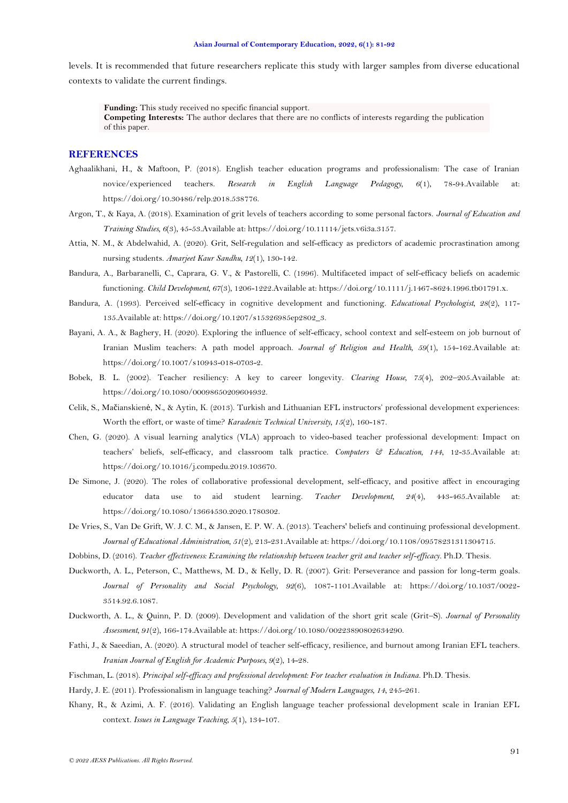levels. It is recommended that future researchers replicate this study with larger samples from diverse educational contexts to validate the current findings.

**Funding:** This study received no specific financial support. **Competing Interests:** The author declares that there are no conflicts of interests regarding the publication of this paper.

## **REFERENCES**

- <span id="page-10-16"></span>Aghaalikhani, H., & Maftoon, P. (2018). English teacher education programs and professionalism: The case of Iranian novice/experienced teachers. *Research in English Language Pedagogy, 6*(1), 78-94.Available at: https://doi.org/10.30486/relp.2018.538776.
- <span id="page-10-3"></span>Argon, T., & Kaya, A. (2018). Examination of grit levels of teachers according to some personal factors. *Journal of Education and Training Studies, 6*(3), 45-53.Available at: https://doi.org/10.11114/jets.v6i3a.3157.
- <span id="page-10-15"></span>Attia, N. M., & Abdelwahid, A. (2020). Grit, Self-regulation and self-efficacy as predictors of academic procrastination among nursing students. *Amarjeet Kaur Sandhu, 12*(1), 130-142.
- <span id="page-10-5"></span>Bandura, A., Barbaranelli, C., Caprara, G. V., & Pastorelli, C. (1996). Multifaceted impact of self-efficacy beliefs on academic functioning. *Child Development, 67*(3), 1206-1222.Available at: https://doi.org/10.1111/j.1467-8624.1996.tb01791.x.
- <span id="page-10-9"></span>Bandura, A. (1993). Perceived self-efficacy in cognitive development and functioning. *Educational Psychologist, 28*(2), 117- 135.Available at: https://doi.org/10.1207/s15326985ep2802\_3.
- <span id="page-10-11"></span>Bayani, A. A., & Baghery, H. (2020). Exploring the influence of self-efficacy, school context and self-esteem on job burnout of Iranian Muslim teachers: A path model approach. *Journal of Religion and Health, 59*(1), 154-162.Available at: https://doi.org/10.1007/s10943-018-0703-2.
- <span id="page-10-4"></span>Bobek, B. L. (2002). Teacher resiliency: A key to career longevity. *Clearing House, 75*(4), 202–205.Available at: https://doi.org/10.1080/00098650209604932.
- <span id="page-10-1"></span>Celik, S., Mačianskienė, N., & Aytin, K. (2013). Turkish and Lithuanian EFL instructors' professional development experiences: Worth the effort, or waste of time? *Karadeniz Technical University, 15*(2), 160-187.
- <span id="page-10-13"></span>Chen, G. (2020). A visual learning analytics (VLA) approach to video-based teacher professional development: Impact on teachers' beliefs, self-efficacy, and classroom talk practice. *Computers & Education, 144*, 12-35.Available at: https://doi.org/10.1016/j.compedu.2019.103670.
- <span id="page-10-14"></span>De Simone, J. (2020). The roles of collaborative professional development, self-efficacy, and positive affect in encouraging educator data use to aid student learning. *Teacher Development, 24*(4), 443-465.Available at: https://doi.org/10.1080/13664530.2020.1780302.
- <span id="page-10-6"></span>De Vries, S., Van De Grift, W. J. C. M., & Jansen, E. P. W. A. (2013). Teachers' beliefs and continuing professional development. *Journal of Educational Administration, 51*(2), 213-231.Available at: https://doi.org/10.1108/09578231311304715.
- <span id="page-10-7"></span>Dobbins, D. (2016). *Teacher effectiveness: Examining the relationship between teacher grit and teacher self-efficacy.* Ph.D. Thesis.
- <span id="page-10-2"></span>Duckworth, A. L., Peterson, C., Matthews, M. D., & Kelly, D. R. (2007). Grit: Perseverance and passion for long-term goals. *Journal of Personality and Social Psychology, 92*(6), 1087-1101.Available at: https://doi.org/10.1037/0022- 3514.92.6.1087.
- <span id="page-10-10"></span>Duckworth, A. L., & Quinn, P. D. (2009). Development and validation of the short grit scale (Grit–S). *Journal of Personality Assessment, 91*(2), 166-174.Available at: https://doi.org/10.1080/00223890802634290.
- <span id="page-10-12"></span>Fathi, J., & Saeedian, A. (2020). A structural model of teacher self-efficacy, resilience, and burnout among Iranian EFL teachers. *Iranian Journal of English for Academic Purposes, 9*(2), 14-28.
- <span id="page-10-8"></span>Fischman, L. (2018). *Principal self-efficacy and professional development: For teacher evaluation in Indiana.* Ph.D. Thesis.
- <span id="page-10-0"></span>Hardy, J. E. (2011). Professionalism in language teaching? *Journal of Modern Languages, 14*, 245-261.
- <span id="page-10-17"></span>Khany, R., & Azimi, A. F. (2016). Validating an English language teacher professional development scale in Iranian EFL context. *Issues in Language Teaching, 5*(1), 134-107.